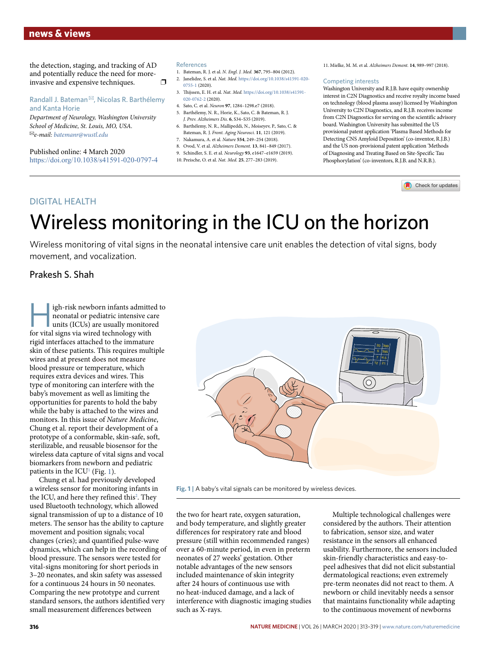# **news & views**

the detection, staging, and tracking of AD and potentially reduce the need for moreinvasive and expensive techniques.  $\Box$ 

Randall J. Bateman ✉, Nicolas R. Barthélemy and Kanta Horie

*Department of Neurology, Washington University School of Medicine, St. Louis, MO, USA.*  ✉*e-mail: [batemanr@wustl.edu](mailto:batemanr@wustl.edu)*

Published online: 4 March 2020 <https://doi.org/10.1038/s41591-020-0797-4>

#### References

- 1. Bateman, R. J. et al. *N. Engl. J. Med.* **367**, 795–804 (2012). 2. Janelidze, S. et al. *Nat. Med.* [https://doi.org/10.1038/s41591-020-](https://doi.org/10.1038/s41591-020-0755-1)
- $(2020)$ .
- 3. Tijssen, E. H. et al. *Nat. Med.* [https://doi.org/10.1038/s41591-](https://doi.org/10.1038/s41591-020-0762-2) [020-0762-2](https://doi.org/10.1038/s41591-020-0762-2) (2020).
- 4. Sato, C. et al. *Neuron* **97**, 1284–1298.e7 (2018). 5. Barthélemy, N. R., Horie, K., Sato, C. & Bateman, R. J.
- *J. Prev. Alzheimers Dis.* **6**, S34–S35 (2019). 6. Barthélemy, N. R., Mallipeddi, N., Moiseyev, P., Sato, C. &
- Bateman, R. J. *Front. Aging Neurosci.* **11**, 121 (2019).
- 7. Nakamura, A. et al. *Nature* **554**, 249–254 (2018). 8. Ovod, V. et al. *Alzheimers Dement.* **13**, 841–849 (2017).
- 9. Schindler, S. E. et al. *Neurology* **93**, e1647–e1659 (2019).
- 10. Preische, O. et al. *Nat. Med.* **25**, 277–283 (2019).

11. Mielke, M. M. et al. *Alzheimers Dement.* **14**, 989–997 (2018).

### Competing interests

Washington University and R.J.B. have equity ownership interest in C2N Diagnostics and receive royalty income based on technology (blood plasma assay) licensed by Washington University to C2N Diagnostics, and R.J.B. receives income from C2N Diagnostics for serving on the scientific advisory board. Washington University has submitted the US provisional patent application 'Plasma Based Methods for Detecting CNS Amyloid Deposition' (co-inventor, R.J.B.) and the US non-provisional patent application 'Methods of Diagnosing and Treating Based on Site-Specific Tau Phosphorylation' (co-inventors, R.J.B. and N.R.B.).

Check for updates

## DIGITAL HEALTH

# Wireless monitoring in the ICU on the horizon

Wireless monitoring of vital signs in the neonatal intensive care unit enables the detection of vital signs, body movement, and vocalization.

# Prakesh S. Shah

igh-risk newborn infants admitted to neonatal or pediatric intensive care units (ICUs) are usually monitored for vital signs via wired technology with rigid interfaces attached to the immature skin of these patients. This requires multiple wires and at present does not measure blood pressure or temperature, which requires extra devices and wires. This type of monitoring can interfere with the baby's movement as well as limiting the opportunities for parents to hold the baby while the baby is attached to the wires and monitors. In this issue of *Nature Medicine*, Chung et al. report their development of a prototype of a conformable, skin-safe, soft, sterilizable, and reusable biosensor for the wireless data capture of vital signs and vocal biomarkers from newborn and pediatric patients in the  $ICU<sup>1</sup>$  (Fig. 1).

Chung et al. had previously developed a wireless sensor for monitoring infants in the ICU, and here they refined this<sup>2</sup>. They used Bluetooth technology, which allowed signal transmission of up to a distance of 10 meters. The sensor has the ability to capture movement and position signals; vocal changes (cries); and quantified pulse-wave dynamics, which can help in the recording of blood pressure. The sensors were tested for vital-signs monitoring for short periods in 3–20 neonates, and skin safety was assessed for a continuous 24 hours in 50 neonates. Comparing the new prototype and current standard sensors, the authors identified very small measurement differences between



**Fig. 1 |** A baby's vital signals can be monitored by wireless devices.

the two for heart rate, oxygen saturation, and body temperature, and slightly greater differences for respiratory rate and blood pressure (still within recommended ranges) over a 60-minute period, in even in preterm neonates of 27 weeks' gestation. Other notable advantages of the new sensors included maintenance of skin integrity after 24 hours of continuous use with no heat-induced damage, and a lack of interference with diagnostic imaging studies such as X-rays.

Multiple technological challenges were considered by the authors. Their attention to fabrication, sensor size, and water resistance in the sensors all enhanced usability. Furthermore, the sensors included skin-friendly characteristics and easy-topeel adhesives that did not elicit substantial dermatological reactions; even extremely pre-term neonates did not react to them. A newborn or child inevitably needs a sensor that maintains functionality while adapting to the continuous movement of newborns